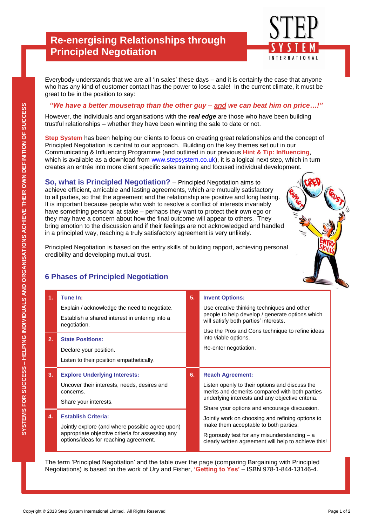# **Re-energising Relationships through Principled Negotiation**



Everybody understands that we are all 'in sales' these days – and it is certainly the case that anyone who has any kind of customer contact has the power to lose a sale! In the current climate, it must be great to be in the position to say:

## *"We have a better mousetrap than the other guy – and we can beat him on price…!"*

However, the individuals and organisations with the *real edge* are those who have been building trustful relationships – whether they have been winning the sale to date or not.

**Step System** has been helping our clients to focus on creating great relationships and the concept of Principled Negotiation is central to our approach. Building on the key themes set out in our Communicating & Influencing Programme (and outlined in our previous **Hint & Tip: Influencing**, which is available as a download from [www.stepsystem.co.uk\)](http://www.stepsystem.co.uk)/), it is a logical next step, which in turn creates an entrée into more client specific sales training and focused individual development.

**So, what is Principled Negotiation?** – Principled Negotiation aims to achieve efficient, amicable and lasting agreements, which are mutually satisfactory to all parties, so that the agreement and the relationship are positive and long lasting. It is important because people who wish to resolve a conflict of interests invariably have something personal at stake – perhaps they want to protect their own ego or they may have a concern about how the final outcome will appear to others. They bring emotion to the discussion and if their feelings are not acknowledged and handled in a principled way, reaching a truly satisfactory agreement is very unlikely.

Principled Negotiation is based on the entry skills of building rapport, achieving personal credibility and developing mutual trust.

## **6 Phases of Principled Negotiation**

|    | Establish a shared interest in entering into a<br>negotiation.                                                                                                             |    | people to help develop / generate options which<br>will satisfy both parties' interests.                                                             |  |
|----|----------------------------------------------------------------------------------------------------------------------------------------------------------------------------|----|------------------------------------------------------------------------------------------------------------------------------------------------------|--|
| 2. | <b>State Positions:</b>                                                                                                                                                    |    | Use the Pros and Cons technique to refine ideas<br>into viable options.                                                                              |  |
|    | Declare your position.<br>Listen to their position empathetically.                                                                                                         |    | Re-enter negotiation.                                                                                                                                |  |
| 3. | <b>Explore Underlying Interests:</b>                                                                                                                                       | 6. | <b>Reach Agreement:</b>                                                                                                                              |  |
|    | Uncover their interests, needs, desires and<br>concerns.                                                                                                                   |    | Listen openly to their options and discuss the<br>merits and demerits compared with both parties<br>underlying interests and any objective criteria. |  |
|    | Share your interests.                                                                                                                                                      |    | Share your options and encourage discussion.                                                                                                         |  |
| 4. | <b>Establish Criteria:</b><br>Jointly explore (and where possible agree upon)<br>appropriate objective criteria for assessing any<br>options/ideas for reaching agreement. |    | Jointly work on choosing and refining options to<br>make them acceptable to both parties.                                                            |  |
|    |                                                                                                                                                                            |    | Rigorously test for any misunderstanding $-$ a<br>clearly written agreement will help to achieve this!                                               |  |
|    | The term 'Principled Negotiation' and the table over the page (comparing Bargaining with Principled                                                                        |    |                                                                                                                                                      |  |
|    | Negotiations) is based on the work of Ury and Fisher, 'Getting to Yes' - ISBN 978-1-844-13146-4.                                                                           |    |                                                                                                                                                      |  |
|    |                                                                                                                                                                            |    |                                                                                                                                                      |  |